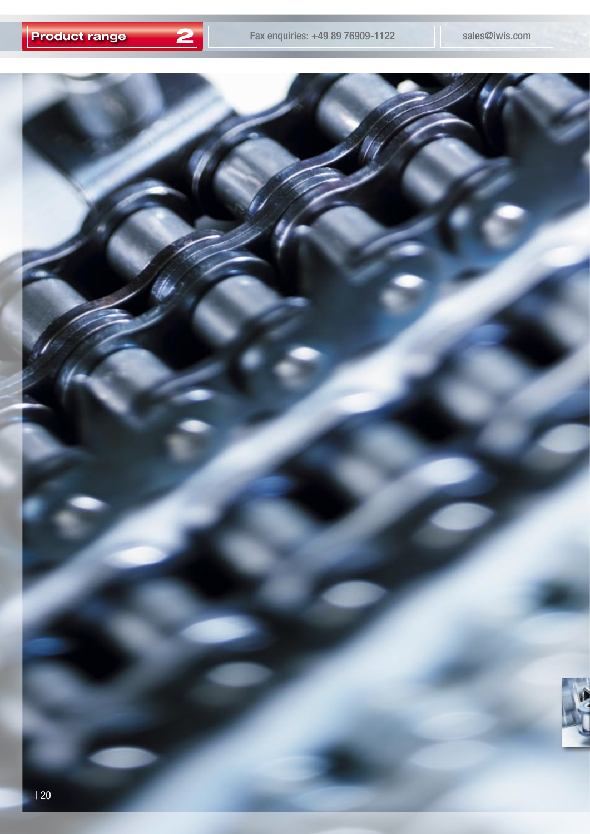

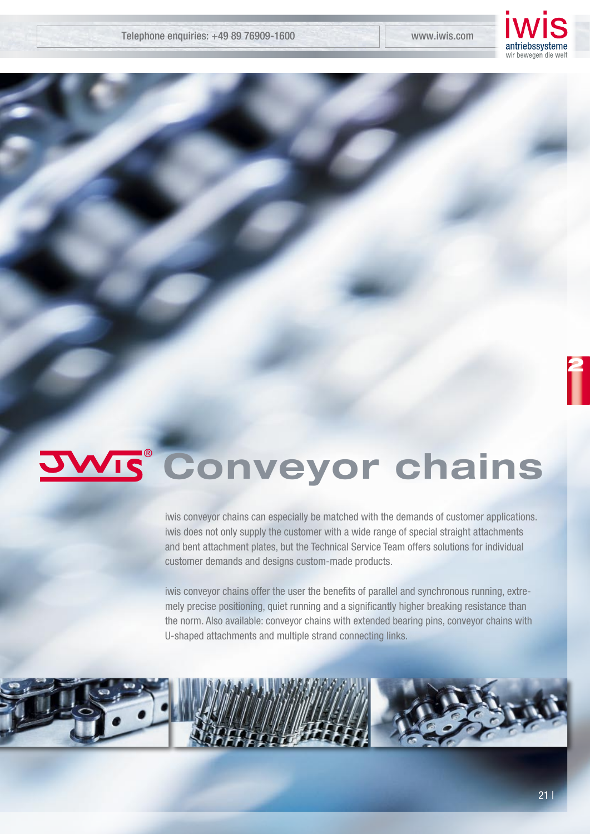

2

# **Conveyor chains**

iwis conveyor chains can especially be matched with the demands of customer applications. iwis does not only supply the customer with a wide range of special straight attachments and bent attachment plates, but the Technical Service Team offers solutions for individual customer demands and designs custom-made products.

iwis conveyor chains offer the user the benefits of parallel and synchronous running, extremely precise positioning, quiet running and a significantly higher breaking resistance than the norm. Also available: conveyor chains with extended bearing pins, conveyor chains with U-shaped attachments and multiple strand connecting links.

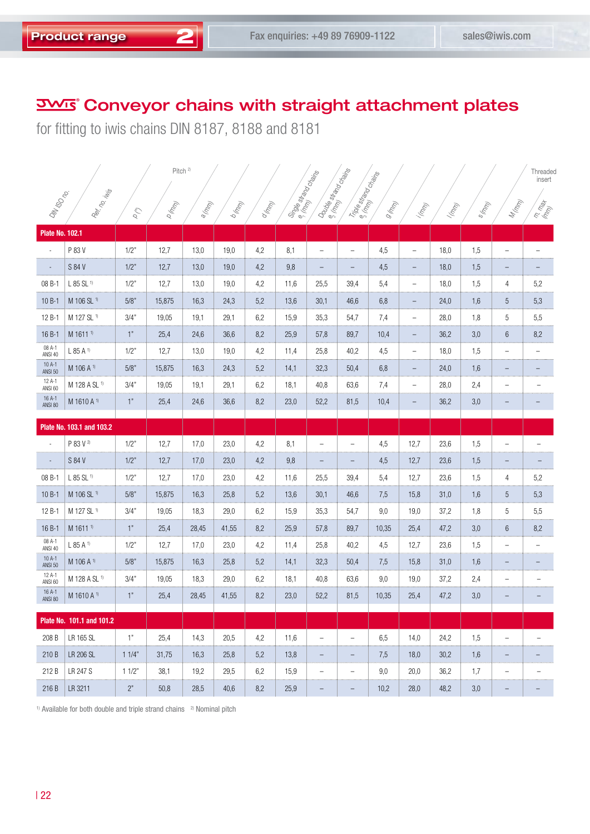# Conveyor chains with straight attachment plates

for fitting to iwis chains DIN 8187, 8188 and 8181

|                           |                           |                         | Pitch <sup>2)</sup> |        |               |        |      |                                                                                                                                                                                                                                             |                          |                                                                 |                          |        |        |                          | Threaded<br>insert       |
|---------------------------|---------------------------|-------------------------|---------------------|--------|---------------|--------|------|---------------------------------------------------------------------------------------------------------------------------------------------------------------------------------------------------------------------------------------------|--------------------------|-----------------------------------------------------------------|--------------------------|--------|--------|--------------------------|--------------------------|
| Dill 150 no.              | Ref. no. itu;             | $\varphi_{\mathcal{O}}$ | p (mmp)             | a (mm) | <b>6 (mm)</b> | d (mm) |      | Double strand change<br>$\frac{\mathcal{S}_{ij}^{\prime\prime}\mathcal{G}_{\beta}}{\mathcal{S}_{i}\mathcal{P}_{\gamma\gamma_{j}}^{\prime\prime}}\mathcal{G}_{\gamma\gamma_{j}}^{\prime\prime}\mathcal{G}_{\gamma\gamma_{j}}^{\prime\prime}$ |                          | Tribe sy<br>9 (hny <sup>ra</sup> nco <sub>laire</sub><br>9 (mm) | i (mm)                   | l (mm) | s (mm) | M (mm)                   | m, may<br>(mm)           |
| <b>Plate No. 102.1</b>    |                           |                         |                     |        |               |        |      |                                                                                                                                                                                                                                             |                          |                                                                 |                          |        |        |                          |                          |
|                           | P 83 V                    | 1/2"                    | 12,7                | 13,0   | 19,0          | 4,2    | 8,1  | $\overline{\phantom{0}}$                                                                                                                                                                                                                    | $\qquad \qquad -$        | 4,5                                                             | $\qquad \qquad -$        | 18,0   | 1,5    | $\qquad \qquad -$        |                          |
| $\overline{\phantom{a}}$  | S 84 V                    | 1/2"                    | 12,7                | 13,0   | 19,0          | 4,2    | 9,8  | $\qquad \qquad -$                                                                                                                                                                                                                           | -                        | 4,5                                                             | $\qquad \qquad -$        | 18,0   | 1,5    |                          |                          |
| 08 B-1                    | $L$ 85 SL <sup>1)</sup>   | 1/2"                    | 12,7                | 13,0   | 19,0          | 4,2    | 11,6 | 25,5                                                                                                                                                                                                                                        | 39,4                     | 5,4                                                             | $\qquad \qquad -$        | 18,0   | 1,5    | 4                        | 5,2                      |
| $10B-1$                   | M 106 SL <sup>1)</sup>    | 5/8"                    | 15,875              | 16,3   | 24,3          | 5,2    | 13,6 | 30,1                                                                                                                                                                                                                                        | 46,6                     | 6,8                                                             | -                        | 24,0   | 1,6    | 5                        | 5,3                      |
| $12B - 1$                 | M 127 SL <sup>1)</sup>    | 3/4"                    | 19,05               | 19,1   | 29,1          | 6,2    | 15,9 | 35,3                                                                                                                                                                                                                                        | 54,7                     | 7,4                                                             | $\qquad \qquad -$        | 28,0   | 1,8    | 5                        | 5,5                      |
| $16B-1$                   | M 1611 <sup>1</sup>       | 1"                      | 25,4                | 24,6   | 36,6          | 8,2    | 25,9 | 57,8                                                                                                                                                                                                                                        | 89,7                     | 10,4                                                            | $\qquad \qquad -$        | 36,2   | 3,0    | $6\phantom{.}6$          | 8,2                      |
| 08 A-1<br>ANSI 40         | $L$ 85 A <sup>1</sup>     | 1/2"                    | 12,7                | 13,0   | 19,0          | 4,2    | 11,4 | 25,8                                                                                                                                                                                                                                        | 40,2                     | 4,5                                                             | $\overline{\phantom{0}}$ | 18,0   | 1,5    | $\overline{\phantom{m}}$ | $\overline{\phantom{0}}$ |
| $10A-1$<br><b>ANSI 50</b> | M 106 A <sup>1)</sup>     | 5/8"                    | 15,875              | 16,3   | 24,3          | 5,2    | 14,1 | 32,3                                                                                                                                                                                                                                        | 50,4                     | 6,8                                                             | $\qquad \qquad -$        | 24,0   | 1,6    | -                        |                          |
| 12 A-1<br>ANSI 60         | M 128 A SL <sup>1)</sup>  | 3/4"                    | 19,05               | 19,1   | 29,1          | 6,2    | 18,1 | 40,8                                                                                                                                                                                                                                        | 63,6                     | 7,4                                                             | $\overline{\phantom{0}}$ | 28,0   | 2,4    | $\overline{\phantom{0}}$ |                          |
| $16A-1$<br><b>ANSI 80</b> | M 1610 A <sup>1)</sup>    | 1"                      | 25,4                | 24,6   | 36,6          | 8,2    | 23,0 | 52,2                                                                                                                                                                                                                                        | 81,5                     | 10,4                                                            | $\qquad \qquad -$        | 36,2   | 3,0    | $\qquad \qquad -$        |                          |
|                           | Plate No. 103.1 and 103.2 |                         |                     |        |               |        |      |                                                                                                                                                                                                                                             |                          |                                                                 |                          |        |        |                          |                          |
|                           | P 83 V 2                  | 1/2"                    | 12,7                | 17,0   | 23,0          | 4,2    | 8,1  | $\overline{\phantom{0}}$                                                                                                                                                                                                                    | $\qquad \qquad -$        | 4,5                                                             | 12,7                     | 23,6   | 1,5    | $\qquad \qquad -$        |                          |
| $\overline{\phantom{a}}$  | S 84 V                    | 1/2"                    | 12,7                | 17,0   | 23,0          | 4,2    | 9,8  | -                                                                                                                                                                                                                                           | $\qquad \qquad -$        | 4,5                                                             | 12,7                     | 23,6   | 1,5    | $\qquad \qquad -$        | $\qquad \qquad -$        |
| 08 B-1                    | $L$ 85 SL <sup>1)</sup>   | 1/2"                    | 12,7                | 17,0   | 23,0          | 4,2    | 11,6 | 25,5                                                                                                                                                                                                                                        | 39,4                     | 5,4                                                             | 12,7                     | 23,6   | 1,5    | 4                        | 5,2                      |
| $10B-1$                   | M 106 SL <sup>1)</sup>    | 5/8"                    | 15,875              | 16,3   | 25,8          | 5,2    | 13,6 | 30,1                                                                                                                                                                                                                                        | 46,6                     | 7,5                                                             | 15,8                     | 31,0   | 1,6    | 5                        | 5,3                      |
| 12 B-1                    | M 127 SL <sup>1)</sup>    | 3/4"                    | 19,05               | 18,3   | 29,0          | 6,2    | 15,9 | 35,3                                                                                                                                                                                                                                        | 54,7                     | 9,0                                                             | 19,0                     | 37,2   | 1,8    | 5                        | 5,5                      |
| 16 B-1                    | M 1611 $\frac{1}{10}$     | 1"                      | 25,4                | 28,45  | 41,55         | 8,2    | 25,9 | 57,8                                                                                                                                                                                                                                        | 89,7                     | 10,35                                                           | 25,4                     | 47,2   | 3,0    | $6\phantom{.}6$          | 8,2                      |
| 08 A-1<br>ANSI 40         | $L$ 85 A <sup>1)</sup>    | 1/2"                    | 12,7                | 17,0   | 23,0          | 4,2    | 11,4 | 25,8                                                                                                                                                                                                                                        | 40,2                     | 4,5                                                             | 12,7                     | 23,6   | 1,5    | $\qquad \qquad -$        | $\overline{\phantom{0}}$ |
| $10A-1$<br><b>ANSI 50</b> | M 106 A <sup>1)</sup>     | 5/8"                    | 15,875              | 16,3   | 25,8          | 5,2    | 14,1 | 32,3                                                                                                                                                                                                                                        | 50,4                     | 7,5                                                             | 15,8                     | 31,0   | 1,6    |                          |                          |
| 12 A-1<br>ANSI 60         | M 128 A SL <sup>1)</sup>  | 3/4"                    | 19,05               | 18,3   | 29,0          | 6,2    | 18,1 | 40,8                                                                                                                                                                                                                                        | 63,6                     | 9,0                                                             | 19,0                     | 37,2   | 2,4    | $\overline{\phantom{m}}$ |                          |
| 16 A-1<br><b>ANSI 80</b>  | M 1610 A <sup>1)</sup>    | 1"                      | 25,4                | 28,45  | 41,55         | 8,2    | 23,0 | 52,2                                                                                                                                                                                                                                        | 81,5                     | 10,35                                                           | 25,4                     | 47,2   | 3,0    |                          |                          |
|                           | Plate No. 101.1 and 101.2 |                         |                     |        |               |        |      |                                                                                                                                                                                                                                             |                          |                                                                 |                          |        |        |                          |                          |
| 208 B                     | LR 165 SL                 | 1"                      | 25,4                | 14,3   | 20,5          | 4,2    | 11,6 | $\qquad \qquad -$                                                                                                                                                                                                                           | $\overline{\phantom{0}}$ | $6,5$                                                           | 14,0                     | 24,2   | 1,5    | $\qquad \qquad -$        |                          |
| 210 B                     | LR 206 SL                 | 11/4"                   | 31,75               | 16,3   | 25,8          | 5,2    | 13,8 | -                                                                                                                                                                                                                                           | $\qquad \qquad -$        | 7,5                                                             | 18,0                     | 30,2   | 1,6    | -                        |                          |
| 212 B                     | LR 247 S                  | 11/2"                   | 38,1                | 19,2   | 29,5          | 6,2    | 15,9 | $\qquad \qquad -$                                                                                                                                                                                                                           | -                        | 9,0                                                             | 20,0                     | 36,2   | 1,7    | $\qquad \qquad -$        |                          |
| 216 B                     | LR 3211                   | 2"                      | 50,8                | 28,5   | 40,6          | 8,2    | 25,9 | -                                                                                                                                                                                                                                           | -                        | 10,2                                                            | 28,0                     | 48,2   | 3,0    | $\qquad \qquad -$        |                          |

 $1)$  Available for both double and triple strand chains  $2)$  Nominal pitch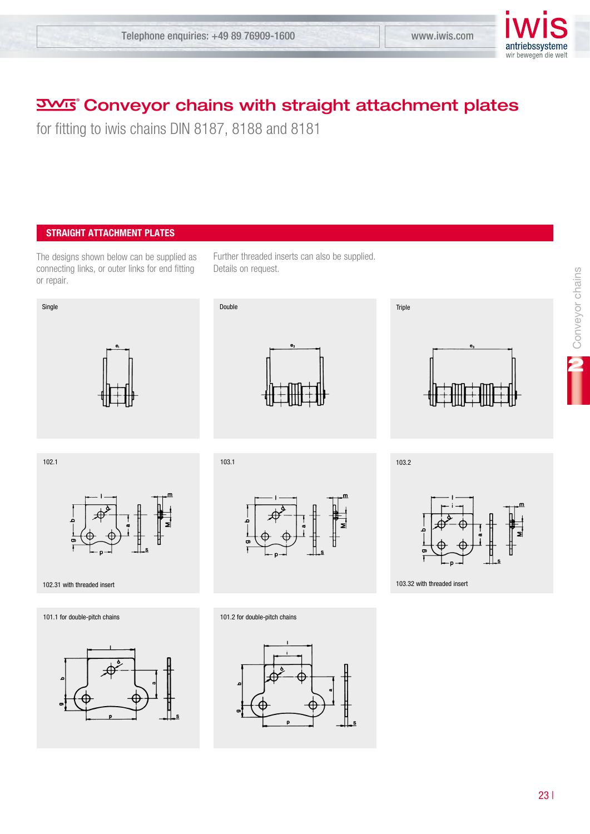

# **EXALG** Conveyor chains with straight attachment plates

for fitting to iwis chains DIN 8187, 8188 and 8181

### **straight attachment plates**

The designs shown below can be supplied as connecting links, or outer links for end fitting or repair.

Further threaded inserts can also be supplied. Details on request.









102.31 with threaded insert





### 101.1 for double-pitch chains 101.2 for double-pitch chains



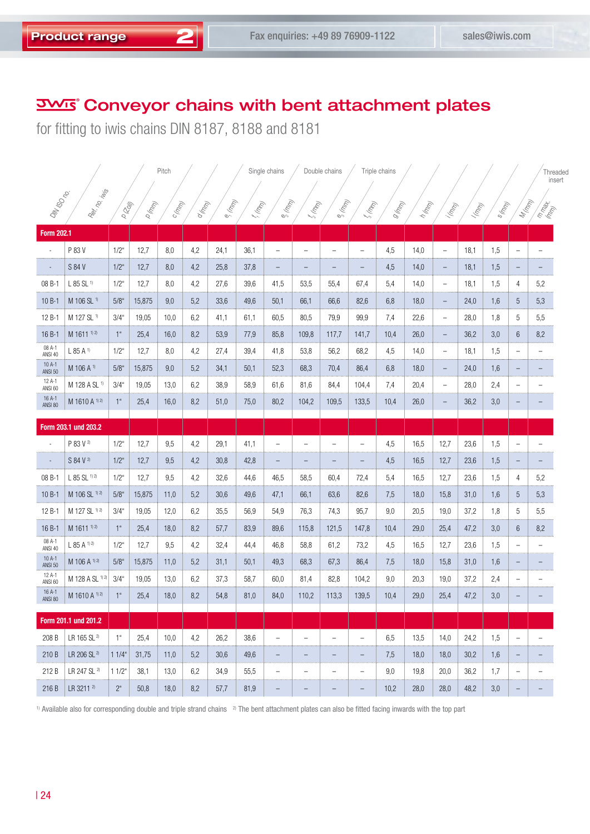# **EXALG** Conveyor chains with bent attachment plates

for fitting to iwis chains DIN 8187, 8188 and 8181

|                           |                          |                | Pitch<br>Single chains<br>Double chains<br>Triple chains |         |        |        |                                 |                          |                          |                          |                          |         |        | Threaded<br>insert |      |        |                          |                          |
|---------------------------|--------------------------|----------------|----------------------------------------------------------|---------|--------|--------|---------------------------------|--------------------------|--------------------------|--------------------------|--------------------------|---------|--------|--------------------|------|--------|--------------------------|--------------------------|
| Dill 160 no.              | iwis<br>Rex. no. /       | p              | p (mm)                                                   | c (mmy) | dujuno | e (mm) | r <sub>f</sub> (m <sub>my</sub> | e (mm)                   | ts (mm)                  | e (mm)                   | ts (mm)                  | 9 (mmp) | h (mmy | i (mm)             | (mm) | s (mm) | M <sub>(mm)</sub>        | m <sub>man</sub> i       |
| <b>Form 202.1</b>         |                          |                |                                                          |         |        |        |                                 |                          |                          |                          |                          |         |        |                    |      |        |                          |                          |
|                           | P 83 V                   | $1/2^u$        | 12,7                                                     | 8,0     | 4,2    | 24,1   | 36,1                            | $\qquad \qquad -$        | $\overline{\phantom{0}}$ | $\overline{\phantom{a}}$ | $\overline{\phantom{a}}$ | 4,5     | 14,0   | $\qquad \qquad -$  | 18,1 | 1,5    | $\overline{\phantom{0}}$ | $\overline{\phantom{0}}$ |
| $\overline{\phantom{a}}$  | S 84 V                   | $1/2^{\circ}$  | 12,7                                                     | 8,0     | 4,2    | 25,8   | 37,8                            | $\qquad \qquad -$        | -                        | $\overline{\phantom{m}}$ | $\qquad \qquad -$        | 4,5     | 14,0   | $\qquad \qquad -$  | 18,1 | 1,5    | -                        | -                        |
| 08 B-1                    | L 85 SL $\frac{1}{1}$    | $1/2^{\circ}$  | 12,7                                                     | 8,0     | 4,2    | 27,6   | 39,6                            | 41,5                     | 53,5                     | 55,4                     | 67,4                     | 5,4     | 14,0   | -                  | 18,1 | 1,5    | 4                        | 5,2                      |
| $10B-1$                   | M 106 SL <sup>1)</sup>   | $5/8$ "        | 15,875                                                   | 9,0     | 5,2    | 33,6   | 49,6                            | 50,1                     | 66,1                     | 66,6                     | 82,6                     | 6,8     | 18,0   | $\qquad \qquad -$  | 24,0 | 1,6    | $5\overline{)}$          | 5,3                      |
| $12B - 1$                 | M 127 SL <sup>1)</sup>   | $3/4$ "        | 19,05                                                    | 10,0    | 6,2    | 41,1   | 61,1                            | 60,5                     | 80,5                     | 79,9                     | 99,9                     | 7,4     | 22,6   | $\qquad \qquad -$  | 28,0 | 1,8    | 5                        | 5,5                      |
| 16 B-1                    | M 1611 1) 2)             | 1 <sup>u</sup> | 25,4                                                     | 16,0    | 8,2    | 53,9   | 77,9                            | 85,8                     | 109,8                    | 117,7                    | 141,7                    | 10,4    | 26,0   | -                  | 36,2 | 3,0    | 6                        | 8,2                      |
| 08 A-1<br>ANSI 40         | $L 85 A$ <sup>1)</sup>   | $1/2^{\circ}$  | 12,7                                                     | 8,0     | 4,2    | 27,4   | 39,4                            | 41,8                     | 53,8                     | 56,2                     | 68,2                     | 4,5     | 14,0   | $\qquad \qquad -$  | 18,1 | 1,5    | $\qquad \qquad -$        | $\overline{\phantom{0}}$ |
| $10A-1$<br><b>ANSI 50</b> | M 106 A <sup>1)</sup>    | $5/8$ "        | 15,875                                                   | 9,0     | 5,2    | 34,1   | 50,1                            | 52,3                     | 68,3                     | 70,4                     | 86,4                     | 6,8     | 18,0   | $\qquad \qquad -$  | 24,0 | 1,6    | -                        | -                        |
| 12 A-1<br><b>ANSI 60</b>  | M 128 A SL <sup>1)</sup> | 3/4"           | 19,05                                                    | 13,0    | 6,2    | 38,9   | 58,9                            | 61,6                     | 81,6                     | 84,4                     | 104,4                    | 7,4     | 20,4   | -                  | 28,0 | 2,4    | -                        |                          |
| 16 A-1<br><b>ANSI 80</b>  | M 1610 A 1) $2)$         | 1 <sup>u</sup> | 25,4                                                     | 16,0    | 8,2    | 51,0   | 75,0                            | 80,2                     | 104,2                    | 109,5                    | 133,5                    | 10,4    | 26,0   | -                  | 36,2 | 3,0    | -                        |                          |
|                           | Form 203.1 und 203.2     |                |                                                          |         |        |        |                                 |                          |                          |                          |                          |         |        |                    |      |        |                          |                          |
|                           | P 83 V 2                 | $1/2^u$        | 12,7                                                     | 9,5     | 4,2    | 29,1   | 41,1                            | $\overline{\phantom{0}}$ | $\overline{\phantom{0}}$ | $\overline{\phantom{0}}$ | $\overline{\phantom{a}}$ | 4,5     | 16,5   | 12,7               | 23,6 | 1,5    | $\overline{\phantom{0}}$ | $\overline{\phantom{0}}$ |
|                           | S 84 V <sup>2)</sup>     | $1/2$ "        | 12,7                                                     | 9,5     | 4,2    | 30,8   | 42,8                            | -                        | -                        | -                        | $\qquad \qquad -$        | 4,5     | 16,5   | 12,7               | 23,6 | 1,5    | -                        |                          |
| 08 B-1                    | L 85 SL 1) 2)            | $1/2^{\circ}$  | 12,7                                                     | 9,5     | 4,2    | 32,6   | 44,6                            | 46,5                     | 58,5                     | 60,4                     | 72,4                     | 5,4     | 16,5   | 12,7               | 23,6 | 1,5    | 4                        | 5,2                      |
| $10B-1$                   | M 106 SL 1) 2)           | $5/8$ "        | 15,875                                                   | 11,0    | 5,2    | 30,6   | 49,6                            | 47,1                     | 66,1                     | 63,6                     | 82,6                     | 7,5     | 18,0   | 15,8               | 31,0 | 1,6    | 5                        | 5,3                      |
| 12 B-1                    | M 127 SL 1) 2)           | 3/4"           | 19,05                                                    | 12,0    | 6,2    | 35,5   | 56,9                            | 54,9                     | 76,3                     | 74,3                     | 95,7                     | 9,0     | 20,5   | 19,0               | 37,2 | 1,8    | 5                        | 5,5                      |
| 16 B-1                    | M 1611 1) 2)             | 1 <sup>u</sup> | 25,4                                                     | 18,0    | 8,2    | 57,7   | 83,9                            | 89,6                     | 115,8                    | 121,5                    | 147,8                    | 10,4    | 29,0   | 25,4               | 47,2 | 3,0    | 6                        | 8,2                      |
| 08 A-1<br>ANSI 40         | L 85 A $^{1/2}$          | $1/2^{\circ}$  | 12,7                                                     | 9,5     | 4,2    | 32,4   | 44,4                            | 46,8                     | 58,8                     | 61,2                     | 73,2                     | 4,5     | 16,5   | 12,7               | 23,6 | 1,5    | -                        |                          |
| $10A-1$<br><b>ANSI 50</b> | M 106 A 1) 2)            | $5/8$ "        | 15,875                                                   | 11,0    | 5,2    | 31,1   | 50,1                            | 49,3                     | 68,3                     | 67,3                     | 86,4                     | 7,5     | 18,0   | 15,8               | 31,0 | 1,6    | -                        |                          |
| 12 A-1<br>ANSI 60         | M 128 A SL 1) 2)         | $3/4$ "        | 19,05                                                    | 13,0    | 6,2    | 37,3   | 58,7                            | 60,0                     | 81,4                     | 82,8                     | 104,2                    | 9,0     | 20,3   | 19,0               | 37,2 | 2,4    | -                        |                          |
| 16 A-1<br><b>ANSI 80</b>  | M 1610 A 1) 2)           | 1 <sup>u</sup> | 25,4                                                     | 18,0    | 8,2    | 54,8   | 81,0                            | 84,0                     | 110,2                    | 113,3                    | 139,5                    | 10,4    | 29,0   | 25,4               | 47,2 | 3,0    |                          |                          |
|                           | Form 201.1 und 201.2     |                |                                                          |         |        |        |                                 |                          |                          |                          |                          |         |        |                    |      |        |                          |                          |
| 208 B                     | LR 165 SL <sup>2)</sup>  | 1 <sup>n</sup> | 25,4                                                     | 10,0    | 4,2    | 26,2   | 38,6                            | $\qquad \qquad -$        | $\overline{\phantom{0}}$ | $\qquad \qquad -$        | $\qquad \qquad -$        | 6,5     | 13,5   | 14,0               | 24,2 | 1,5    | $\overline{\phantom{a}}$ |                          |
| 210 B                     | LR 206 SL <sup>2)</sup>  | $11/4$ "       | 31,75                                                    | 11,0    | 5,2    | 30,6   | 49,6                            | $\qquad \qquad -$        | -                        | -                        | -                        | 7,5     | 18,0   | 18,0               | 30,2 | 1,6    | $\qquad \qquad -$        |                          |
| 212 B                     | LR 247 SL <sup>2)</sup>  | $11/2$ "       | 38,1                                                     | 13,0    | 6,2    | 34,9   | 55,5                            | $\overline{\phantom{a}}$ | $\qquad \qquad -$        | $\overline{\phantom{a}}$ | $\overline{\phantom{a}}$ | 9,0     | 19,8   | 20,0               | 36,2 | 1,7    | $\qquad \qquad -$        | $\overline{\phantom{0}}$ |
| 216 B                     | LR 3211 <sup>2)</sup>    | 2 <sup>u</sup> | 50,8                                                     | 18,0    | 8,2    | 57,7   | 81,9                            | $\qquad \qquad -$        | -                        | -                        | -                        | 10,2    | 28,0   | 28,0               | 48,2 | 3,0    |                          |                          |

 $<sup>1</sup>$  Available also for corresponding double and triple strand chains  $<sup>2</sup>$  The bent attachment plates can also be fitted facing inwards with the top part</sup></sup>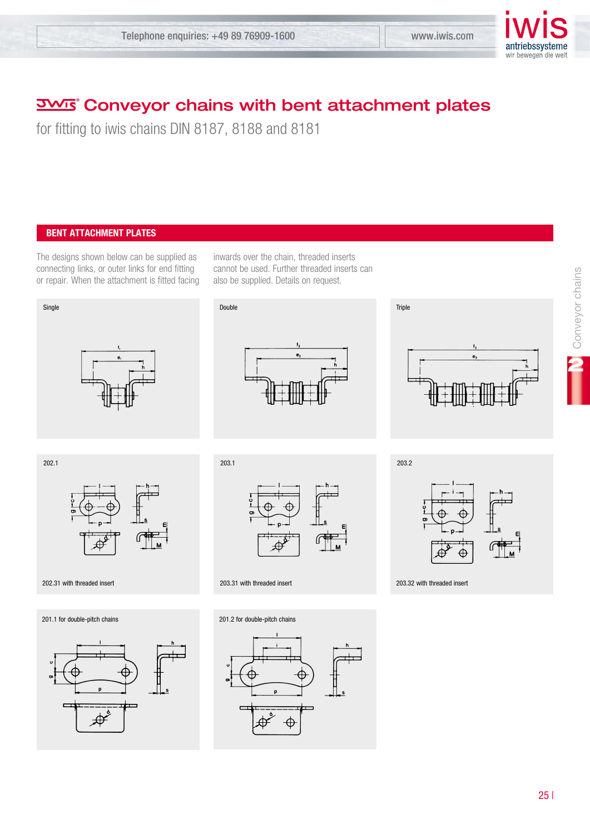

# **EXALG** Conveyor chains with bent attachment plates

for fitting to iwis chains DIN 8187, 8188 and 8181

## **bent attachment plates**

The designs shown below can be supplied as connecting links, or outer links for end fitting or repair. When the attachment is fitted facing inwards over the chain, threaded inserts cannot be used. Further threaded inserts can also be supplied. Details on request.









202.31 with threaded insert

201.1 for double-pitch chains 201.2 for double-pitch chains





203.31 with threaded insert





203.32 with threaded insert

Conveyor chains Conveyor chains 2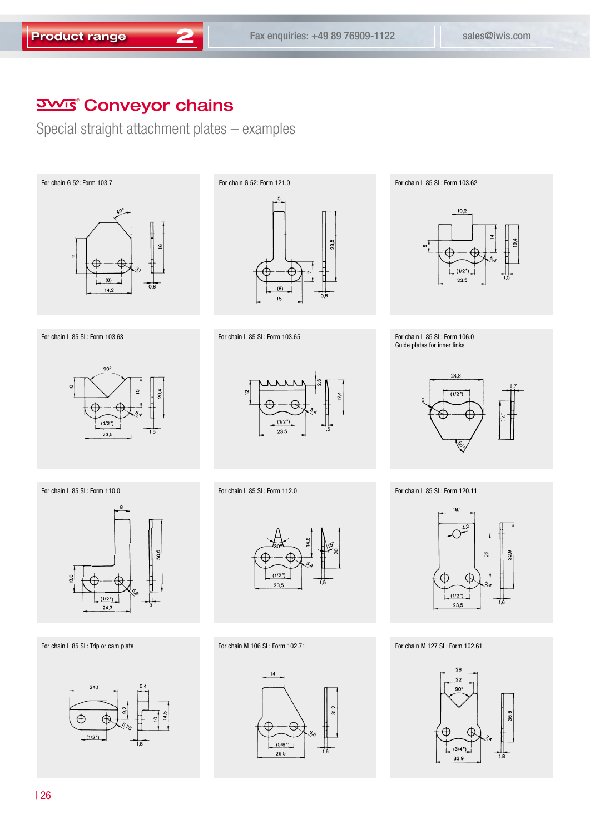# **<u>JWIS</u>** Conveyor chains

Special straight attachment plates – examples



For chain L 85 SL: Form 103.63 For chain L 85 SL: Form 103.65 For chain L 85 SL: Form 106.0

















Guide plates for inner links



For chain L 85 SL: Form 110.0 For chain L 85 SL: Form 112.0 For chain L 85 SL: Form 120.11

18. ↔ 32,9  $\tilde{\mathbf{z}}$  $(1/2")$  $7.6$ 23,5

### For chain L 85 SL: Trip or cam plate Form 102.61 Form 106 SL: Form 102.71 For chain M 127 SL: Form 102.61

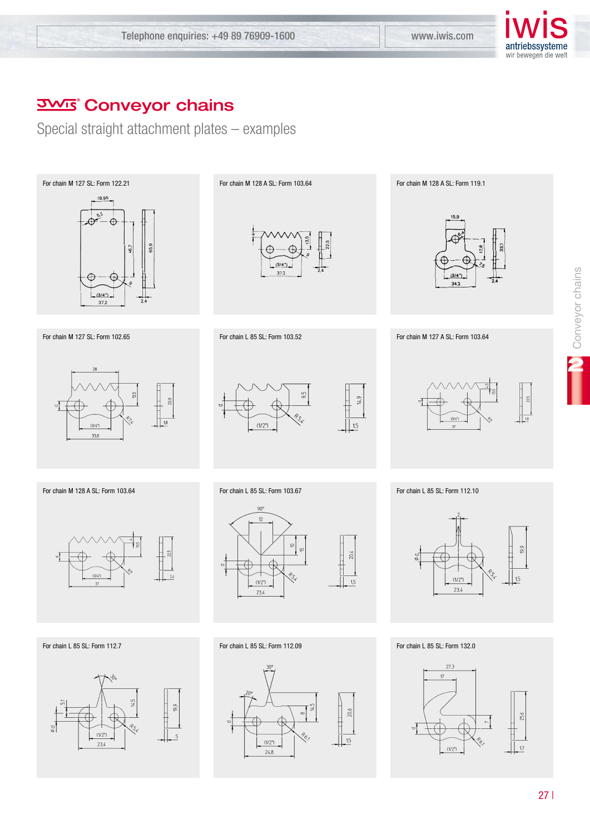

# **JWIS** Conveyor chains

Special straight attachment plates – examples







 $\frac{5}{2}$ 

14.9

 $1,5$ 



 $(1/2")$ 



For chain M 127 SL: Form 102.65 For chain L 85 SL: Form 103.52 For chain M 127 A SL: Form 103.64







For chain M 128 A SL: Form 103.64 For chain L 85 SL: Form 103.67 For chain L 85 SL: Form 112.10







### For chain L 85 SL: Form 112.7 For chain L 85 SL: Form 112.09 For chain L 85 SL: Form 132.0





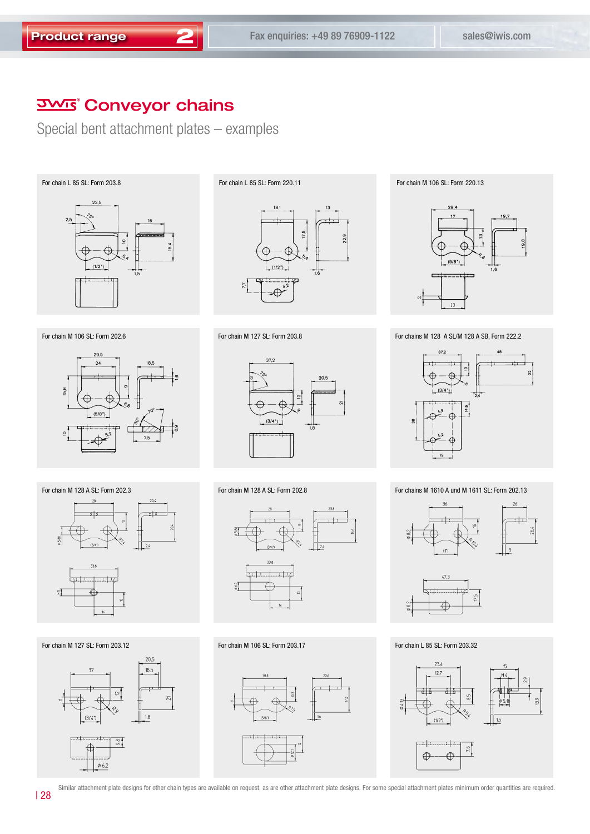# **<u>JWIS</u>** Conveyor chains

Special bent attachment plates – examples





















For chain M 106 SL: Form 202.6 For chain M 127 SL: Form 203.8 For chains M 128 A SL/M 128 A SB, Form 222.2



### For chain M 128 A SL: Form 202.3 For chain M 128 A SL: Form 202.8 For chains M 1610 A und M 1611 SL: Form 202.13





### For chain M 127 SL: Form 203.12 For chain M 106 SL: Form 203.17 For chain L 85 SL: Form 203.32



Similar attachment plate designs for other chain types are available on request, as are other attachment plate designs. For some special attachment plates minimum order quantities are required.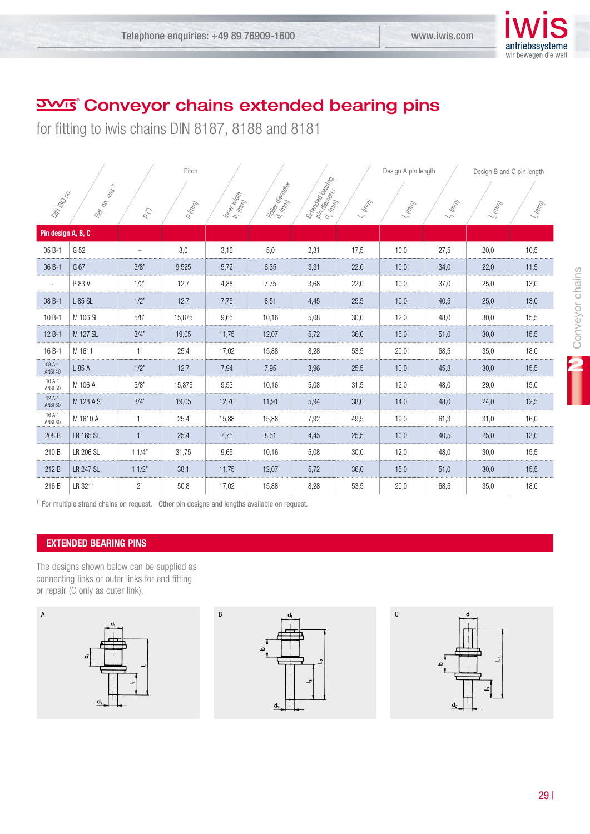

# **EXAT** Conveyor chains extended bearing pins

for fitting to iwis chains DIN 8187, 8188 and 8181

| Ditl Koo <sub>no.</sub> | Ref. no. livis !! | $\mathcal{O}(\mathcal{O})$ | Pitch<br>p (mmy | inner width<br>6. (mm) dh | Rolley<br>9. (m <sub>m)</sub> anelys | Stenderd<br>Pin diametering<br>S (mm) <sup>deg</sup> ring | $\zeta$ (mmp) | Design A pin length<br>$\frac{1}{2}$ (mmp) | $\frac{1}{2}$ (mmp) | Design B and C pin length<br>$\frac{1}{2}$ (mmp) | $\frac{1}{3}$ (mmp) |
|-------------------------|-------------------|----------------------------|-----------------|---------------------------|--------------------------------------|-----------------------------------------------------------|---------------|--------------------------------------------|---------------------|--------------------------------------------------|---------------------|
| Pin design A, B, C      |                   |                            |                 |                           |                                      |                                                           |               |                                            |                     |                                                  |                     |
| 05 B-1                  | G 52              | $\qquad \qquad -$          | 8,0             | 3,16                      | 5,0                                  | 2,31                                                      | 17,5          | 10,0                                       | 27,5                | 20,0                                             | 10,5                |
| 06 B-1                  | G 67              | 3/8"                       | 9,525           | 5,72                      | 6,35                                 | 3,31                                                      | 22,0          | 10,0                                       | 34,0                | 22,0                                             | 11,5                |
| ä,                      | P 83 V            | 1/2"                       | 12,7            | 4,88                      | 7,75                                 | 3,68                                                      | 22,0          | 10,0                                       | 37,0                | 25,0                                             | 13,0                |
| 08 B-1                  | L 85 SL           | 1/2"                       | 12,7            | 7,75                      | 8,51                                 | 4,45                                                      | 25,5          | 10,0                                       | 40,5                | 25,0                                             | 13,0                |
| 10 B-1                  | M 106 SL          | 5/8"                       | 15,875          | 9,65                      | 10,16                                | 5,08                                                      | 30,0          | 12,0                                       | 48,0                | 30,0                                             | 15,5                |
| $12B - 1$               | M 127 SL          | 3/4"                       | 19,05           | 11,75                     | 12,07                                | 5,72                                                      | 36,0          | 15,0                                       | 51,0                | 30,0                                             | 15,5                |
| 16 B-1                  | M 1611            | 1"                         | 25,4            | 17,02                     | 15,88                                | 8,28                                                      | 53,5          | 20,0                                       | 68,5                | 35,0                                             | 18,0                |
| 08 A-1<br>ANSI 40       | L 85 A            | 1/2"                       | 12,7            | 7,94                      | 7,95                                 | 3,96                                                      | 25,5          | 10,0                                       | 45,3                | 30,0                                             | 15,5                |
| 10 A-1<br>ANSI 50       | M 106 A           | 5/8"                       | 15,875          | 9,53                      | 10,16                                | 5,08                                                      | 31,5          | 12,0                                       | 48,0                | 29,0                                             | 15,0                |
| $12A-1$<br>ANSI 60      | M 128 A SL        | 3/4"                       | 19,05           | 12,70                     | 11,91                                | 5,94                                                      | 38,0          | 14,0                                       | 48,0                | 24,0                                             | 12,5                |
| 16 A-1<br>ANSI 80       | M 1610 A          | 1"                         | 25,4            | 15,88                     | 15,88                                | 7,92                                                      | 49,5          | 19,0                                       | 61,3                | 31,0                                             | 16,0                |
| 208 B                   | LR 165 SL         | 1"                         | 25,4            | 7,75                      | 8,51                                 | 4,45                                                      | 25,5          | 10,0                                       | 40,5                | 25,0                                             | 13,0                |
| 210 B                   | <b>LR 206 SL</b>  | 11/4"                      | 31,75           | 9,65                      | 10,16                                | 5,08                                                      | 30,0          | 12,0                                       | 48,0                | 30,0                                             | 15,5                |
| 212 B                   | <b>LR 247 SL</b>  | 11/2"                      | 38,1            | 11,75                     | 12,07                                | 5,72                                                      | 36,0          | 15,0                                       | 51,0                | 30,0                                             | 15,5                |
| 216 B                   | LR 3211           | 2"                         | 50,8            | 17,02                     | 15,88                                | 8,28                                                      | 53,5          | 20,0                                       | 68,5                | 35,0                                             | 18,0                |

 $1)$  For multiple strand chains on request. Other pin designs and lengths available on request.

### **extended bearing pins**

The designs shown below can be supplied as connecting links or outer links for end fitting or repair (C only as outer link).







2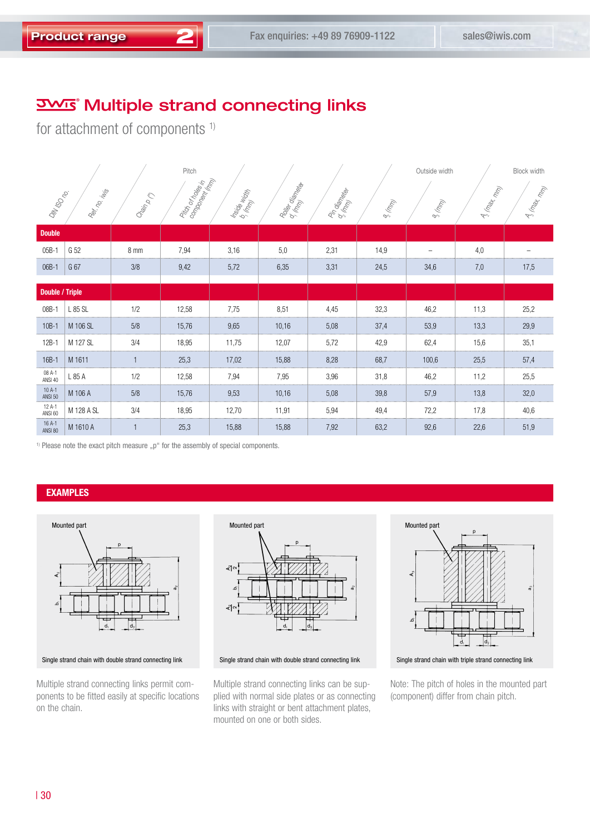# **JWIS** Multiple strand connecting links

for attachment of components<sup>1)</sup>

|                          |                 |                        | Pitch                                                                          |              |                                                  |                                             |                                                                | Outside width                                                  |             | Block width |
|--------------------------|-----------------|------------------------|--------------------------------------------------------------------------------|--------------|--------------------------------------------------|---------------------------------------------|----------------------------------------------------------------|----------------------------------------------------------------|-------------|-------------|
| Dill 160 no.             | Ref. no. ilutis | Chair <sub>p</sub> (*) | Pitch of folge<br><sup>Orty</sup> Politique<br><sup>Chri</sup> fm <sub>m</sub> | Inside width | Roller dianeger<br>9. (mm) <sup>dianege</sup> er | Pin diameter<br>9 (mm) <sup>diam</sup> eter | $\frac{\partial}{\partial}(\hat{\eta}_{\hat{\eta}\hat{\eta}})$ | $\frac{\partial}{\partial}(\hat{\eta}_{\hat{\eta}\hat{\eta}})$ | A (max. mm) | A (max. mm) |
| <b>Double</b>            |                 |                        |                                                                                |              |                                                  |                                             |                                                                |                                                                |             |             |
| $05B-1$                  | G <sub>52</sub> | 8 mm                   | 7,94                                                                           | 3,16         | $5,0$                                            | 2,31                                        | 14,9                                                           | $\overline{\phantom{m}}$                                       | 4,0         |             |
| 06B-1                    | G 67            | 3/8                    | 9,42                                                                           | 5,72         | 6,35                                             | 3,31                                        | 24,5                                                           | 34,6                                                           | 7,0         | 17,5        |
|                          |                 |                        |                                                                                |              |                                                  |                                             |                                                                |                                                                |             |             |
| <b>Double / Triple</b>   |                 |                        |                                                                                |              |                                                  |                                             |                                                                |                                                                |             |             |
| 08B-1                    | L 85 SL         | 1/2                    | 12,58                                                                          | 7,75         | 8,51                                             | 4,45                                        | 32,3                                                           | 46,2                                                           | 11,3        | 25,2        |
| $10B-1$                  | M 106 SL        | 5/8                    | 15,76                                                                          | 9,65         | 10,16                                            | 5,08                                        | 37,4                                                           | 53,9                                                           | 13,3        | 29,9        |
| $12B-1$                  | M 127 SL        | 3/4                    | 18,95                                                                          | 11,75        | 12,07                                            | 5,72                                        | 42,9                                                           | 62,4                                                           | 15,6        | 35,1        |
| 16B-1                    | M 1611          |                        | 25,3                                                                           | 17,02        | 15,88                                            | 8,28                                        | 68,7                                                           | 100,6                                                          | 25,5        | 57,4        |
| 08 A-1<br>ANSI 40        | L 85 A          | 1/2                    | 12,58                                                                          | 7,94         | 7,95                                             | 3,96                                        | 31,8                                                           | 46,2                                                           | 11,2        | 25,5        |
| $10 A - 1$<br>ANSI 50    | M 106 A         | 5/8                    | 15,76                                                                          | 9,53         | 10,16                                            | 5,08                                        | 39,8                                                           | 57,9                                                           | 13,8        | 32,0        |
| 12 A-1<br>ANSI 60        | M 128 A SL      | 3/4                    | 18,95                                                                          | 12,70        | 11,91                                            | 5,94                                        | 49,4                                                           | 72,2                                                           | 17,8        | 40,6        |
| 16 A-1<br><b>ANSI 80</b> | M 1610 A        |                        | 25,3                                                                           | 15,88        | 15,88                                            | 7,92                                        | 63,2                                                           | 92,6                                                           | 22,6        | 51,9        |

 $1)$  Please note the exact pitch measure "p" for the assembly of special components.

### **examples**



Multiple strand connecting links permit components to be fitted easily at specific locations

Mounted part **Mounted part** Mounted part **Mounted part**  $\mathbb{C}[\infty]$ اثر

Multiple strand connecting links can be supplied with normal side plates or as connecting links with straight or bent attachment plates, mounted on one or both sides.



Note: The pitch of holes in the mounted part (component) differ from chain pitch.

on the chain.